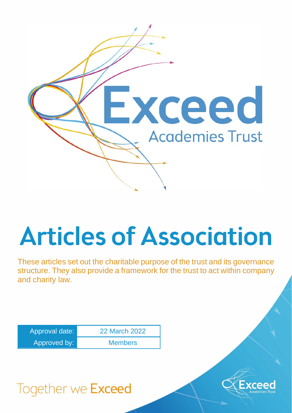

# Articles of Association

These articles set out the charitable purpose of the trust and its governance structure. They also provide a framework for the trust to act within company and charity law.

| Approval date: | 22 March 2022  |
|----------------|----------------|
| Approved by:   | <b>Members</b> |

# Together we Exceed

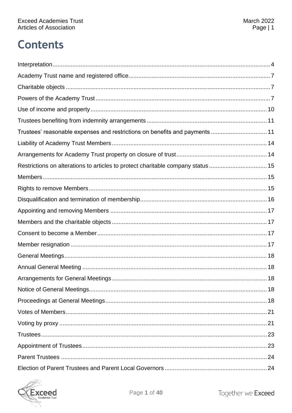# **Contents**

| Trustees' reasonable expenses and restrictions on benefits and payments  11      |
|----------------------------------------------------------------------------------|
|                                                                                  |
|                                                                                  |
| Restrictions on alterations to articles to protect charitable company status  15 |
|                                                                                  |
|                                                                                  |
|                                                                                  |
|                                                                                  |
|                                                                                  |
|                                                                                  |
|                                                                                  |
|                                                                                  |
|                                                                                  |
|                                                                                  |
|                                                                                  |
|                                                                                  |
|                                                                                  |
|                                                                                  |
|                                                                                  |
|                                                                                  |
|                                                                                  |
|                                                                                  |

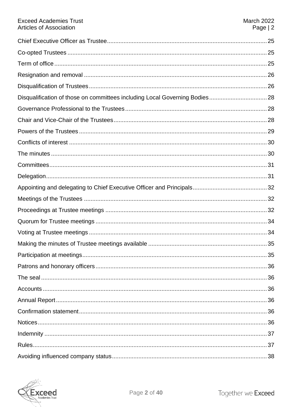| <b>Exceed Academies Trust</b><br><b>Articles of Association</b>             | <b>March 2022</b><br>Page $ 2$ |
|-----------------------------------------------------------------------------|--------------------------------|
|                                                                             |                                |
|                                                                             |                                |
|                                                                             |                                |
|                                                                             |                                |
|                                                                             |                                |
| Disqualification of those on committees including Local Governing Bodies 28 |                                |
|                                                                             |                                |
|                                                                             |                                |
|                                                                             |                                |
|                                                                             |                                |
|                                                                             |                                |
|                                                                             |                                |
|                                                                             |                                |
|                                                                             |                                |
|                                                                             |                                |
|                                                                             |                                |
|                                                                             |                                |
|                                                                             |                                |
|                                                                             |                                |
|                                                                             |                                |
|                                                                             |                                |
|                                                                             |                                |
|                                                                             |                                |
|                                                                             |                                |
|                                                                             |                                |
|                                                                             |                                |
|                                                                             |                                |
|                                                                             |                                |
|                                                                             |                                |

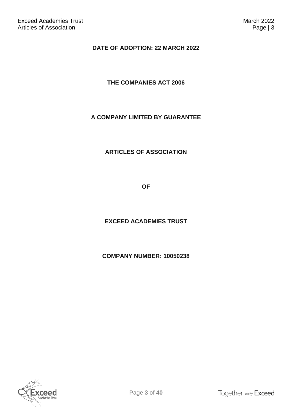#### **DATE OF ADOPTION: 22 MARCH 2022**

#### **THE COMPANIES ACT 2006**

#### **A COMPANY LIMITED BY GUARANTEE**

#### **ARTICLES OF ASSOCIATION**

**OF**

#### **EXCEED ACADEMIES TRUST**

#### **COMPANY NUMBER: 10050238**

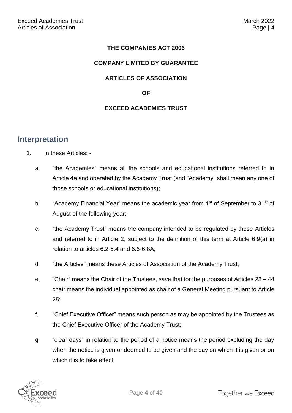#### **THE COMPANIES ACT 2006**

#### **COMPANY LIMITED BY GUARANTEE**

#### **ARTICLES OF ASSOCIATION**

#### **OF**

#### **EXCEED ACADEMIES TRUST**

#### <span id="page-4-0"></span>**Interpretation**

- 1. In these Articles:
	- a. "the Academies" means all the schools and educational institutions referred to in Article 4a and operated by the Academy Trust (and "Academy" shall mean any one of those schools or educational institutions);
	- b. "Academy Financial Year" means the academic year from 1<sup>st</sup> of September to 31<sup>st</sup> of August of the following year;
	- c. "the Academy Trust" means the company intended to be regulated by these Articles and referred to in Article 2, subject to the definition of this term at Article 6.9(a) in relation to articles 6.2-6.4 and 6.6-6.8A;
	- d. "the Articles" means these Articles of Association of the Academy Trust;
	- e. "Chair" means the Chair of the Trustees, save that for the purposes of Articles 23 44 chair means the individual appointed as chair of a General Meeting pursuant to Article 25;
	- f. "Chief Executive Officer" means such person as may be appointed by the Trustees as the Chief Executive Officer of the Academy Trust;
	- g. "clear days" in relation to the period of a notice means the period excluding the day when the notice is given or deemed to be given and the day on which it is given or on which it is to take effect;

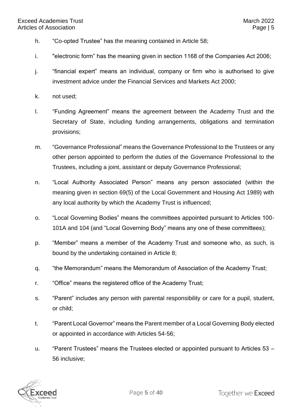- h. "Co-opted Trustee" has the meaning contained in Article 58;
- i. "electronic form" has the meaning given in section 1168 of the Companies Act 2006;
- j. "financial expert" means an individual, company or firm who is authorised to give investment advice under the Financial Services and Markets Act 2000;
- k. not used;
- l. "Funding Agreement" means the agreement between the Academy Trust and the Secretary of State, including funding arrangements, obligations and termination provisions;
- m. "Governance Professional" means the Governance Professional to the Trustees or any other person appointed to perform the duties of the Governance Professional to the Trustees, including a joint, assistant or deputy Governance Professional;
- n. "Local Authority Associated Person" means any person associated (within the meaning given in section 69(5) of the Local Government and Housing Act 1989) with any local authority by which the Academy Trust is influenced;
- o. "Local Governing Bodies" means the committees appointed pursuant to Articles 100- 101A and 104 (and "Local Governing Body" means any one of these committees);
- p. "Member" means a member of the Academy Trust and someone who, as such, is bound by the undertaking contained in Article 8;
- q. "the Memorandum" means the Memorandum of Association of the Academy Trust;
- r. "Office" means the registered office of the Academy Trust;
- s. "Parent" includes any person with parental responsibility or care for a pupil, student, or child;
- t. "Parent Local Governor" means the Parent member of a Local Governing Body elected or appointed in accordance with Articles 54-56;
- u. "Parent Trustees" means the Trustees elected or appointed pursuant to Articles 53 56 inclusive;

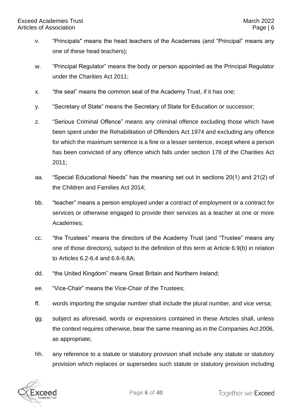- v. "Principals" means the head teachers of the Academies (and "Principal" means any one of these head teachers);
- w. "Principal Regulator" means the body or person appointed as the Principal Regulator under the Charities Act 2011;
- x. "the seal" means the common seal of the Academy Trust, if it has one;
- y. "Secretary of State" means the Secretary of State for Education or successor;
- z. "Serious Criminal Offence" means any criminal offence excluding those which have been spent under the Rehabilitation of Offenders Act 1974 and excluding any offence for which the maximum sentence is a fine or a lesser sentence, except where a person has been convicted of any offence which falls under section 178 of the Charities Act 2011;
- aa. "Special Educational Needs" has the meaning set out in sections 20(1) and 21(2) of the Children and Families Act 2014;
- bb. "teacher" means a person employed under a contract of employment or a contract for services or otherwise engaged to provide their services as a teacher at one or more Academies;
- cc. "the Trustees" means the directors of the Academy Trust (and "Trustee" means any one of those directors), subject to the definition of this term at Article 6.9(b) in relation to Articles 6.2-6.4 and 6.6-6.8A;
- dd. "the United Kingdom" means Great Britain and Northern Ireland;
- ee. "Vice-Chair" means the Vice-Chair of the Trustees;
- ff. words importing the singular number shall include the plural number, and vice versa;
- gg. subject as aforesaid, words or expressions contained in these Articles shall, unless the context requires otherwise, bear the same meaning as in the Companies Act 2006, as appropriate;
- hh. any reference to a statute or statutory provision shall include any statute or statutory provision which replaces or supersedes such statute or statutory provision including

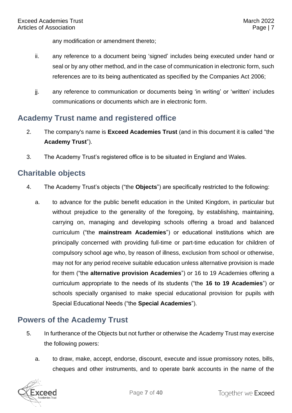any modification or amendment thereto;

- ii. any reference to a document being 'signed' includes being executed under hand or seal or by any other method, and in the case of communication in electronic form, such references are to its being authenticated as specified by the Companies Act 2006;
- jj. any reference to communication or documents being 'in writing' or 'written' includes communications or documents which are in electronic form.

#### <span id="page-7-0"></span>**Academy Trust name and registered office**

- 2. The company's name is **Exceed Academies Trust** (and in this document it is called "the **Academy Trust**").
- 3. The Academy Trust's registered office is to be situated in England and Wales.

#### <span id="page-7-1"></span>**Charitable objects**

- 4. The Academy Trust's objects ("the **Objects**") are specifically restricted to the following:
	- a. to advance for the public benefit education in the United Kingdom, in particular but without prejudice to the generality of the foregoing, by establishing, maintaining, carrying on, managing and developing schools offering a broad and balanced curriculum ("the **mainstream Academies**") or educational institutions which are principally concerned with providing full-time or part-time education for children of compulsory school age who, by reason of illness, exclusion from school or otherwise, may not for any period receive suitable education unless alternative provision is made for them ("the **alternative provision Academies**") or 16 to 19 Academies offering a curriculum appropriate to the needs of its students ("the **16 to 19 Academies**") or schools specially organised to make special educational provision for pupils with Special Educational Needs ("the **Special Academies**").

#### <span id="page-7-2"></span>**Powers of the Academy Trust**

- 5. In furtherance of the Objects but not further or otherwise the Academy Trust may exercise the following powers:
	- a. to draw, make, accept, endorse, discount, execute and issue promissory notes, bills, cheques and other instruments, and to operate bank accounts in the name of the

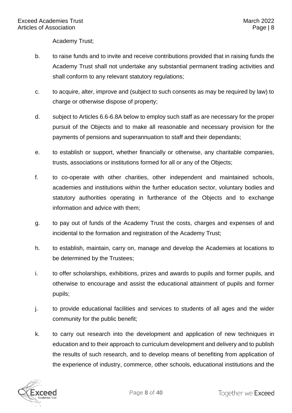Academy Trust;

- b. to raise funds and to invite and receive contributions provided that in raising funds the Academy Trust shall not undertake any substantial permanent trading activities and shall conform to any relevant statutory regulations;
- c. to acquire, alter, improve and (subject to such consents as may be required by law) to charge or otherwise dispose of property;
- d. subject to Articles 6.6-6.8A below to employ such staff as are necessary for the proper pursuit of the Objects and to make all reasonable and necessary provision for the payments of pensions and superannuation to staff and their dependants;
- e. to establish or support, whether financially or otherwise, any charitable companies, trusts, associations or institutions formed for all or any of the Objects;
- f. to co-operate with other charities, other independent and maintained schools, academies and institutions within the further education sector, voluntary bodies and statutory authorities operating in furtherance of the Objects and to exchange information and advice with them;
- g. to pay out of funds of the Academy Trust the costs, charges and expenses of and incidental to the formation and registration of the Academy Trust;
- h. to establish, maintain, carry on, manage and develop the Academies at locations to be determined by the Trustees;
- i. to offer scholarships, exhibitions, prizes and awards to pupils and former pupils, and otherwise to encourage and assist the educational attainment of pupils and former pupils;
- j. to provide educational facilities and services to students of all ages and the wider community for the public benefit;
- k. to carry out research into the development and application of new techniques in education and to their approach to curriculum development and delivery and to publish the results of such research, and to develop means of benefiting from application of the experience of industry, commerce, other schools, educational institutions and the

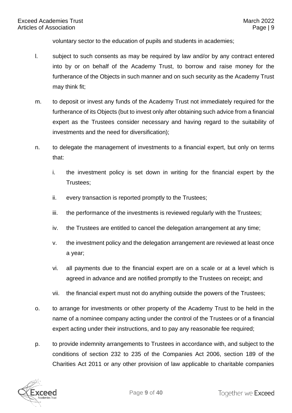voluntary sector to the education of pupils and students in academies;

- l. subject to such consents as may be required by law and/or by any contract entered into by or on behalf of the Academy Trust, to borrow and raise money for the furtherance of the Objects in such manner and on such security as the Academy Trust may think fit;
- m. to deposit or invest any funds of the Academy Trust not immediately required for the furtherance of its Objects (but to invest only after obtaining such advice from a financial expert as the Trustees consider necessary and having regard to the suitability of investments and the need for diversification);
- n. to delegate the management of investments to a financial expert, but only on terms that:
	- i. the investment policy is set down in writing for the financial expert by the Trustees;
	- ii. every transaction is reported promptly to the Trustees;
	- iii. the performance of the investments is reviewed regularly with the Trustees;
	- iv. the Trustees are entitled to cancel the delegation arrangement at any time;
	- v. the investment policy and the delegation arrangement are reviewed at least once a year;
	- vi. all payments due to the financial expert are on a scale or at a level which is agreed in advance and are notified promptly to the Trustees on receipt; and
	- vii. the financial expert must not do anything outside the powers of the Trustees;
- o. to arrange for investments or other property of the Academy Trust to be held in the name of a nominee company acting under the control of the Trustees or of a financial expert acting under their instructions, and to pay any reasonable fee required;
- p. to provide indemnity arrangements to Trustees in accordance with, and subject to the conditions of section 232 to 235 of the Companies Act 2006, section 189 of the Charities Act 2011 or any other provision of law applicable to charitable companies

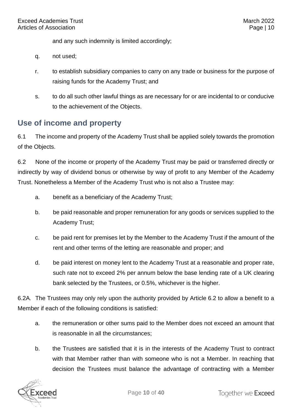and any such indemnity is limited accordingly;

- q. not used;
- r. to establish subsidiary companies to carry on any trade or business for the purpose of raising funds for the Academy Trust; and
- s. to do all such other lawful things as are necessary for or are incidental to or conducive to the achievement of the Objects.

#### <span id="page-10-0"></span>**Use of income and property**

6.1 The income and property of the Academy Trust shall be applied solely towards the promotion of the Objects.

6.2 None of the income or property of the Academy Trust may be paid or transferred directly or indirectly by way of dividend bonus or otherwise by way of profit to any Member of the Academy Trust. Nonetheless a Member of the Academy Trust who is not also a Trustee may:

- a. benefit as a beneficiary of the Academy Trust;
- b. be paid reasonable and proper remuneration for any goods or services supplied to the Academy Trust;
- c. be paid rent for premises let by the Member to the Academy Trust if the amount of the rent and other terms of the letting are reasonable and proper; and
- d. be paid interest on money lent to the Academy Trust at a reasonable and proper rate, such rate not to exceed 2% per annum below the base lending rate of a UK clearing bank selected by the Trustees, or 0.5%, whichever is the higher.

6.2A. The Trustees may only rely upon the authority provided by Article 6.2 to allow a benefit to a Member if each of the following conditions is satisfied:

- a. the remuneration or other sums paid to the Member does not exceed an amount that is reasonable in all the circumstances;
- b. the Trustees are satisfied that it is in the interests of the Academy Trust to contract with that Member rather than with someone who is not a Member. In reaching that decision the Trustees must balance the advantage of contracting with a Member

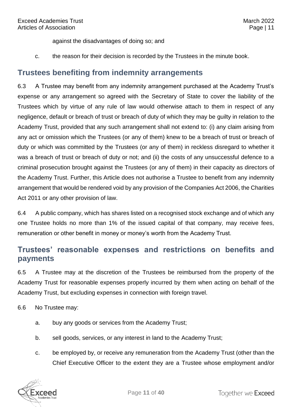against the disadvantages of doing so; and

c. the reason for their decision is recorded by the Trustees in the minute book.

#### <span id="page-11-0"></span>**Trustees benefiting from indemnity arrangements**

6.3 A Trustee may benefit from any indemnity arrangement purchased at the Academy Trust's expense or any arrangement so agreed with the Secretary of State to cover the liability of the Trustees which by virtue of any rule of law would otherwise attach to them in respect of any negligence, default or breach of trust or breach of duty of which they may be guilty in relation to the Academy Trust, provided that any such arrangement shall not extend to: (i) any claim arising from any act or omission which the Trustees (or any of them) knew to be a breach of trust or breach of duty or which was committed by the Trustees (or any of them) in reckless disregard to whether it was a breach of trust or breach of duty or not; and (ii) the costs of any unsuccessful defence to a criminal prosecution brought against the Trustees (or any of them) in their capacity as directors of the Academy Trust. Further, this Article does not authorise a Trustee to benefit from any indemnity arrangement that would be rendered void by any provision of the Companies Act 2006, the Charities Act 2011 or any other provision of law.

6.4 A public company, which has shares listed on a recognised stock exchange and of which any one Trustee holds no more than 1% of the issued capital of that company, may receive fees, remuneration or other benefit in money or money's worth from the Academy Trust.

#### <span id="page-11-1"></span>**Trustees' reasonable expenses and restrictions on benefits and payments**

6.5 A Trustee may at the discretion of the Trustees be reimbursed from the property of the Academy Trust for reasonable expenses properly incurred by them when acting on behalf of the Academy Trust, but excluding expenses in connection with foreign travel.

6.6 No Trustee may:

- a. buy any goods or services from the Academy Trust;
- b. sell goods, services, or any interest in land to the Academy Trust;
- c. be employed by, or receive any remuneration from the Academy Trust (other than the Chief Executive Officer to the extent they are a Trustee whose employment and/or

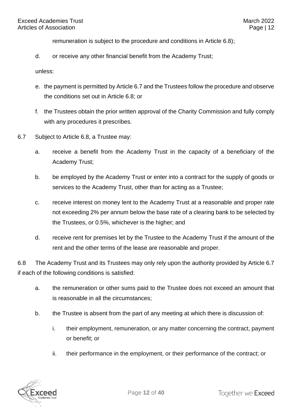remuneration is subject to the procedure and conditions in Article 6.8);

d. or receive any other financial benefit from the Academy Trust;

unless:

- e. the payment is permitted by Article 6.7 and the Trustees follow the procedure and observe the conditions set out in Article 6.8; or
- f. the Trustees obtain the prior written approval of the Charity Commission and fully comply with any procedures it prescribes.
- 6.7 Subject to Article 6.8, a Trustee may:
	- a. receive a benefit from the Academy Trust in the capacity of a beneficiary of the Academy Trust;
	- b. be employed by the Academy Trust or enter into a contract for the supply of goods or services to the Academy Trust, other than for acting as a Trustee;
	- c. receive interest on money lent to the Academy Trust at a reasonable and proper rate not exceeding 2% per annum below the base rate of a clearing bank to be selected by the Trustees, or 0.5%, whichever is the higher; and
	- d. receive rent for premises let by the Trustee to the Academy Trust if the amount of the rent and the other terms of the lease are reasonable and proper.

6.8 The Academy Trust and its Trustees may only rely upon the authority provided by Article 6.7 if each of the following conditions is satisfied:

- a. the remuneration or other sums paid to the Trustee does not exceed an amount that is reasonable in all the circumstances;
- b. the Trustee is absent from the part of any meeting at which there is discussion of:
	- i. their employment, remuneration, or any matter concerning the contract, payment or benefit; or
	- ii. their performance in the employment, or their performance of the contract; or

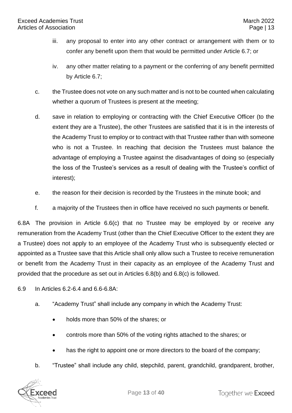- iii. any proposal to enter into any other contract or arrangement with them or to confer any benefit upon them that would be permitted under Article 6.7; or
- iv. any other matter relating to a payment or the conferring of any benefit permitted by Article 6.7;
- c. the Trustee does not vote on any such matter and is not to be counted when calculating whether a quorum of Trustees is present at the meeting;
- d. save in relation to employing or contracting with the Chief Executive Officer (to the extent they are a Trustee), the other Trustees are satisfied that it is in the interests of the Academy Trust to employ or to contract with that Trustee rather than with someone who is not a Trustee. In reaching that decision the Trustees must balance the advantage of employing a Trustee against the disadvantages of doing so (especially the loss of the Trustee's services as a result of dealing with the Trustee's conflict of interest);
- e. the reason for their decision is recorded by the Trustees in the minute book; and
- f. a majority of the Trustees then in office have received no such payments or benefit.

6.8A The provision in Article 6.6(c) that no Trustee may be employed by or receive any remuneration from the Academy Trust (other than the Chief Executive Officer to the extent they are a Trustee) does not apply to an employee of the Academy Trust who is subsequently elected or appointed as a Trustee save that this Article shall only allow such a Trustee to receive remuneration or benefit from the Academy Trust in their capacity as an employee of the Academy Trust and provided that the procedure as set out in Articles 6.8(b) and 6.8(c) is followed.

6.9 In Articles 6.2-6.4 and 6.6-6.8A:

- a. "Academy Trust" shall include any company in which the Academy Trust:
	- holds more than 50% of the shares; or
	- controls more than 50% of the voting rights attached to the shares; or
	- has the right to appoint one or more directors to the board of the company;
- b. "Trustee" shall include any child, stepchild, parent, grandchild, grandparent, brother,

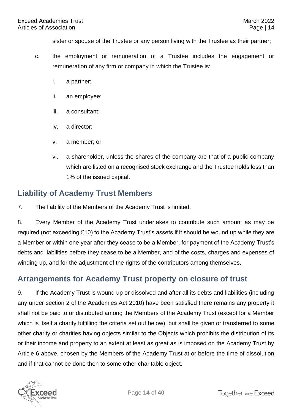sister or spouse of the Trustee or any person living with the Trustee as their partner;

- c. the employment or remuneration of a Trustee includes the engagement or remuneration of any firm or company in which the Trustee is:
	- i. a partner;
	- ii. an employee;
	- iii. a consultant;
	- iv. a director;
	- v. a member; or
	- vi. a shareholder, unless the shares of the company are that of a public company which are listed on a recognised stock exchange and the Trustee holds less than 1% of the issued capital.

#### <span id="page-14-0"></span>**Liability of Academy Trust Members**

7. The liability of the Members of the Academy Trust is limited.

8. Every Member of the Academy Trust undertakes to contribute such amount as may be required (not exceeding £10) to the Academy Trust's assets if it should be wound up while they are a Member or within one year after they cease to be a Member, for payment of the Academy Trust's debts and liabilities before they cease to be a Member, and of the costs, charges and expenses of winding up, and for the adjustment of the rights of the contributors among themselves.

#### <span id="page-14-1"></span>**Arrangements for Academy Trust property on closure of trust**

9. If the Academy Trust is wound up or dissolved and after all its debts and liabilities (including any under section 2 of the Academies Act 2010) have been satisfied there remains any property it shall not be paid to or distributed among the Members of the Academy Trust (except for a Member which is itself a charity fulfilling the criteria set out below), but shall be given or transferred to some other charity or charities having objects similar to the Objects which prohibits the distribution of its or their income and property to an extent at least as great as is imposed on the Academy Trust by Article 6 above, chosen by the Members of the Academy Trust at or before the time of dissolution and if that cannot be done then to some other charitable object.

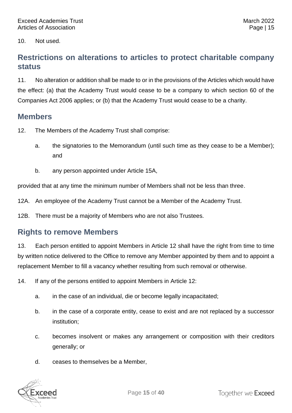10. Not used.

#### <span id="page-15-0"></span>**Restrictions on alterations to articles to protect charitable company status**

11. No alteration or addition shall be made to or in the provisions of the Articles which would have the effect: (a) that the Academy Trust would cease to be a company to which section 60 of the Companies Act 2006 applies; or (b) that the Academy Trust would cease to be a charity.

#### <span id="page-15-1"></span>**Members**

- 12. The Members of the Academy Trust shall comprise:
	- a. the signatories to the Memorandum (until such time as they cease to be a Member); and
	- b. any person appointed under Article 15A,

provided that at any time the minimum number of Members shall not be less than three.

12A. An employee of the Academy Trust cannot be a Member of the Academy Trust.

12B. There must be a majority of Members who are not also Trustees.

#### <span id="page-15-2"></span>**Rights to remove Members**

13. Each person entitled to appoint Members in Article 12 shall have the right from time to time by written notice delivered to the Office to remove any Member appointed by them and to appoint a replacement Member to fill a vacancy whether resulting from such removal or otherwise.

14. If any of the persons entitled to appoint Members in Article 12:

- a. in the case of an individual, die or become legally incapacitated;
- b. in the case of a corporate entity, cease to exist and are not replaced by a successor institution;
- c. becomes insolvent or makes any arrangement or composition with their creditors generally; or
- d. ceases to themselves be a Member,

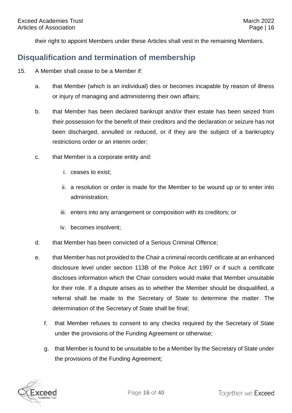their right to appoint Members under these Articles shall vest in the remaining Members.

#### <span id="page-16-0"></span>**Disqualification and termination of membership**

- 15. A Member shall cease to be a Member if:
	- a. that Member (which is an individual) dies or becomes incapable by reason of illness or injury of managing and administering their own affairs;
	- b. that Member has been declared bankrupt and/or their estate has been seized from their possession for the benefit of their creditors and the declaration or seizure has not been discharged, annulled or reduced, or if they are the subject of a bankruptcy restrictions order or an interim order;
	- c. that Member is a corporate entity and:
		- i. ceases to exist;
		- ii. a resolution or order is made for the Member to be wound up or to enter into administration;
		- iii. enters into any arrangement or composition with its creditors; or
		- iv. becomes insolvent;
	- d. that Member has been convicted of a Serious Criminal Offence;
	- e. that Member has not provided to the Chair a criminal records certificate at an enhanced disclosure level under section 113B of the Police Act 1997 or if such a certificate discloses information which the Chair considers would make that Member unsuitable for their role. If a dispute arises as to whether the Member should be disqualified, a referral shall be made to the Secretary of State to determine the matter. The determination of the Secretary of State shall be final;
		- f. that Member refuses to consent to any checks required by the Secretary of State under the provisions of the Funding Agreement or otherwise;
		- g. that Member is found to be unsuitable to be a Member by the Secretary of State under the provisions of the Funding Agreement;

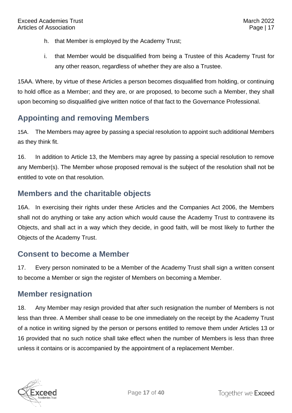- h. that Member is employed by the Academy Trust;
- i. that Member would be disqualified from being a Trustee of this Academy Trust for any other reason, regardless of whether they are also a Trustee.

15AA. Where, by virtue of these Articles a person becomes disqualified from holding, or continuing to hold office as a Member; and they are, or are proposed, to become such a Member, they shall upon becoming so disqualified give written notice of that fact to the Governance Professional.

# <span id="page-17-0"></span>**Appointing and removing Members**

15A. The Members may agree by passing a special resolution to appoint such additional Members as they think fit.

16. In addition to Article 13, the Members may agree by passing a special resolution to remove any Member(s). The Member whose proposed removal is the subject of the resolution shall not be entitled to vote on that resolution.

### <span id="page-17-1"></span>**Members and the charitable objects**

16A. In exercising their rights under these Articles and the Companies Act 2006, the Members shall not do anything or take any action which would cause the Academy Trust to contravene its Objects, and shall act in a way which they decide, in good faith, will be most likely to further the Objects of the Academy Trust.

#### <span id="page-17-2"></span>**Consent to become a Member**

17. Every person nominated to be a Member of the Academy Trust shall sign a written consent to become a Member or sign the register of Members on becoming a Member.

#### <span id="page-17-3"></span>**Member resignation**

18. Any Member may resign provided that after such resignation the number of Members is not less than three. A Member shall cease to be one immediately on the receipt by the Academy Trust of a notice in writing signed by the person or persons entitled to remove them under Articles 13 or 16 provided that no such notice shall take effect when the number of Members is less than three unless it contains or is accompanied by the appointment of a replacement Member.

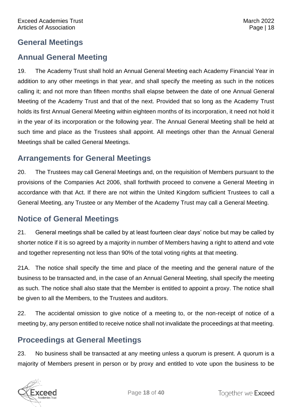#### <span id="page-18-0"></span>**General Meetings**

#### <span id="page-18-1"></span>**Annual General Meeting**

19. The Academy Trust shall hold an Annual General Meeting each Academy Financial Year in addition to any other meetings in that year, and shall specify the meeting as such in the notices calling it; and not more than fifteen months shall elapse between the date of one Annual General Meeting of the Academy Trust and that of the next. Provided that so long as the Academy Trust holds its first Annual General Meeting within eighteen months of its incorporation, it need not hold it in the year of its incorporation or the following year. The Annual General Meeting shall be held at such time and place as the Trustees shall appoint. All meetings other than the Annual General Meetings shall be called General Meetings.

# <span id="page-18-2"></span>**Arrangements for General Meetings**

20. The Trustees may call General Meetings and, on the requisition of Members pursuant to the provisions of the Companies Act 2006, shall forthwith proceed to convene a General Meeting in accordance with that Act. If there are not within the United Kingdom sufficient Trustees to call a General Meeting, any Trustee or any Member of the Academy Trust may call a General Meeting.

#### <span id="page-18-3"></span>**Notice of General Meetings**

21. General meetings shall be called by at least fourteen clear days' notice but may be called by shorter notice if it is so agreed by a majority in number of Members having a right to attend and vote and together representing not less than 90% of the total voting rights at that meeting.

21A. The notice shall specify the time and place of the meeting and the general nature of the business to be transacted and, in the case of an Annual General Meeting, shall specify the meeting as such. The notice shall also state that the Member is entitled to appoint a proxy. The notice shall be given to all the Members, to the Trustees and auditors.

22. The accidental omission to give notice of a meeting to, or the non-receipt of notice of a meeting by, any person entitled to receive notice shall not invalidate the proceedings at that meeting.

# <span id="page-18-4"></span>**Proceedings at General Meetings**

23. No business shall be transacted at any meeting unless a quorum is present. A quorum is a majority of Members present in person or by proxy and entitled to vote upon the business to be

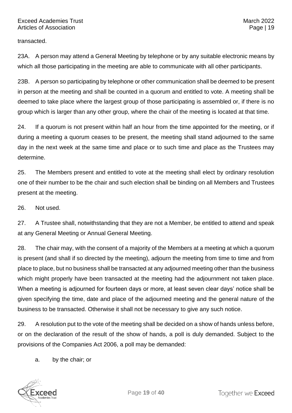transacted.

23A. A person may attend a General Meeting by telephone or by any suitable electronic means by which all those participating in the meeting are able to communicate with all other participants.

23B. A person so participating by telephone or other communication shall be deemed to be present in person at the meeting and shall be counted in a quorum and entitled to vote. A meeting shall be deemed to take place where the largest group of those participating is assembled or, if there is no group which is larger than any other group, where the chair of the meeting is located at that time.

24. If a quorum is not present within half an hour from the time appointed for the meeting, or if during a meeting a quorum ceases to be present, the meeting shall stand adjourned to the same day in the next week at the same time and place or to such time and place as the Trustees may determine.

25. The Members present and entitled to vote at the meeting shall elect by ordinary resolution one of their number to be the chair and such election shall be binding on all Members and Trustees present at the meeting.

26. Not used.

27. A Trustee shall, notwithstanding that they are not a Member, be entitled to attend and speak at any General Meeting or Annual General Meeting.

28. The chair may, with the consent of a majority of the Members at a meeting at which a quorum is present (and shall if so directed by the meeting), adjourn the meeting from time to time and from place to place, but no business shall be transacted at any adjourned meeting other than the business which might properly have been transacted at the meeting had the adjournment not taken place. When a meeting is adjourned for fourteen days or more, at least seven clear days' notice shall be given specifying the time, date and place of the adjourned meeting and the general nature of the business to be transacted. Otherwise it shall not be necessary to give any such notice.

29. A resolution put to the vote of the meeting shall be decided on a show of hands unless before, or on the declaration of the result of the show of hands, a poll is duly demanded. Subject to the provisions of the Companies Act 2006, a poll may be demanded:

a. by the chair; or

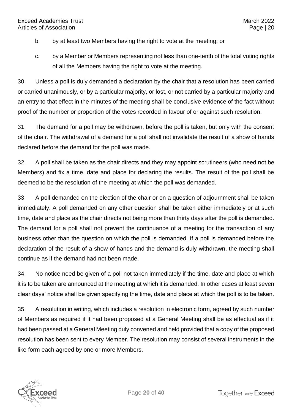- b. by at least two Members having the right to vote at the meeting; or
- c. by a Member or Members representing not less than one-tenth of the total voting rights of all the Members having the right to vote at the meeting.

30. Unless a poll is duly demanded a declaration by the chair that a resolution has been carried or carried unanimously, or by a particular majority, or lost, or not carried by a particular majority and an entry to that effect in the minutes of the meeting shall be conclusive evidence of the fact without proof of the number or proportion of the votes recorded in favour of or against such resolution.

31. The demand for a poll may be withdrawn, before the poll is taken, but only with the consent of the chair. The withdrawal of a demand for a poll shall not invalidate the result of a show of hands declared before the demand for the poll was made.

32. A poll shall be taken as the chair directs and they may appoint scrutineers (who need not be Members) and fix a time, date and place for declaring the results. The result of the poll shall be deemed to be the resolution of the meeting at which the poll was demanded.

33. A poll demanded on the election of the chair or on a question of adjournment shall be taken immediately. A poll demanded on any other question shall be taken either immediately or at such time, date and place as the chair directs not being more than thirty days after the poll is demanded. The demand for a poll shall not prevent the continuance of a meeting for the transaction of any business other than the question on which the poll is demanded. If a poll is demanded before the declaration of the result of a show of hands and the demand is duly withdrawn, the meeting shall continue as if the demand had not been made.

34. No notice need be given of a poll not taken immediately if the time, date and place at which it is to be taken are announced at the meeting at which it is demanded. In other cases at least seven clear days' notice shall be given specifying the time, date and place at which the poll is to be taken.

35. A resolution in writing, which includes a resolution in electronic form, agreed by such number of Members as required if it had been proposed at a General Meeting shall be as effectual as if it had been passed at a General Meeting duly convened and held provided that a copy of the proposed resolution has been sent to every Member. The resolution may consist of several instruments in the like form each agreed by one or more Members.

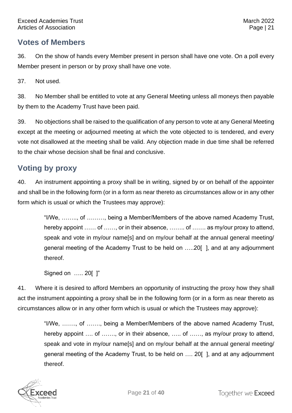#### <span id="page-21-0"></span>**Votes of Members**

36. On the show of hands every Member present in person shall have one vote. On a poll every Member present in person or by proxy shall have one vote.

37. Not used.

38. No Member shall be entitled to vote at any General Meeting unless all moneys then payable by them to the Academy Trust have been paid.

39. No objections shall be raised to the qualification of any person to vote at any General Meeting except at the meeting or adjourned meeting at which the vote objected to is tendered, and every vote not disallowed at the meeting shall be valid. Any objection made in due time shall be referred to the chair whose decision shall be final and conclusive.

# <span id="page-21-1"></span>**Voting by proxy**

40. An instrument appointing a proxy shall be in writing, signed by or on behalf of the appointer and shall be in the following form (or in a form as near thereto as circumstances allow or in any other form which is usual or which the Trustees may approve):

> "I/We, …….., of ………, being a Member/Members of the above named Academy Trust, hereby appoint …… of ……, or in their absence, ……… of …… as my/our proxy to attend, speak and vote in my/our name[s] and on my/our behalf at the annual general meeting/ general meeting of the Academy Trust to be held on …..20[ ], and at any adjournment thereof.

Signed on ….. 20[ ]"

41. Where it is desired to afford Members an opportunity of instructing the proxy how they shall act the instrument appointing a proxy shall be in the following form (or in a form as near thereto as circumstances allow or in any other form which is usual or which the Trustees may approve):

> "I/We, ……., of ……., being a Member/Members of the above named Academy Trust, hereby appoint …. of ……., or in their absence, ….. of ……, as my/our proxy to attend, speak and vote in my/our name[s] and on my/our behalf at the annual general meeting/ general meeting of the Academy Trust, to be held on …. 20[ ], and at any adjournment thereof.

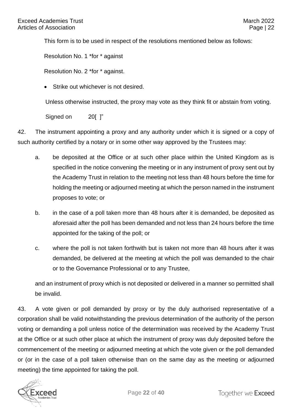This form is to be used in respect of the resolutions mentioned below as follows:

Resolution No. 1 \*for \* against

Resolution No. 2 \*for \* against.

Strike out whichever is not desired.

Unless otherwise instructed, the proxy may vote as they think fit or abstain from voting.

Signed on 201 l"

42. The instrument appointing a proxy and any authority under which it is signed or a copy of such authority certified by a notary or in some other way approved by the Trustees may:

- a. be deposited at the Office or at such other place within the United Kingdom as is specified in the notice convening the meeting or in any instrument of proxy sent out by the Academy Trust in relation to the meeting not less than 48 hours before the time for holding the meeting or adjourned meeting at which the person named in the instrument proposes to vote; or
- b. in the case of a poll taken more than 48 hours after it is demanded, be deposited as aforesaid after the poll has been demanded and not less than 24 hours before the time appointed for the taking of the poll; or
- c. where the poll is not taken forthwith but is taken not more than 48 hours after it was demanded, be delivered at the meeting at which the poll was demanded to the chair or to the Governance Professional or to any Trustee,

and an instrument of proxy which is not deposited or delivered in a manner so permitted shall be invalid.

43. A vote given or poll demanded by proxy or by the duly authorised representative of a corporation shall be valid notwithstanding the previous determination of the authority of the person voting or demanding a poll unless notice of the determination was received by the Academy Trust at the Office or at such other place at which the instrument of proxy was duly deposited before the commencement of the meeting or adjourned meeting at which the vote given or the poll demanded or (or in the case of a poll taken otherwise than on the same day as the meeting or adjourned meeting) the time appointed for taking the poll.

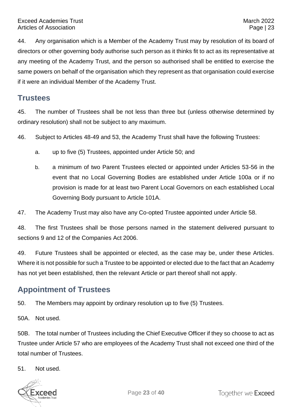44. Any organisation which is a Member of the Academy Trust may by resolution of its board of directors or other governing body authorise such person as it thinks fit to act as its representative at any meeting of the Academy Trust, and the person so authorised shall be entitled to exercise the same powers on behalf of the organisation which they represent as that organisation could exercise if it were an individual Member of the Academy Trust.

#### <span id="page-23-0"></span>**Trustees**

45. The number of Trustees shall be not less than three but (unless otherwise determined by ordinary resolution) shall not be subject to any maximum.

46. Subject to Articles 48-49 and 53, the Academy Trust shall have the following Trustees:

- a. up to five (5) Trustees, appointed under Article 50; and
- b. a minimum of two Parent Trustees elected or appointed under Articles 53-56 in the event that no Local Governing Bodies are established under Article 100a or if no provision is made for at least two Parent Local Governors on each established Local Governing Body pursuant to Article 101A.
- 47. The Academy Trust may also have any Co-opted Trustee appointed under Article 58.

48. The first Trustees shall be those persons named in the statement delivered pursuant to sections 9 and 12 of the Companies Act 2006.

49. Future Trustees shall be appointed or elected, as the case may be, under these Articles. Where it is not possible for such a Trustee to be appointed or elected due to the fact that an Academy has not yet been established, then the relevant Article or part thereof shall not apply.

# <span id="page-23-1"></span>**Appointment of Trustees**

50. The Members may appoint by ordinary resolution up to five (5) Trustees.

50A. Not used.

50B. The total number of Trustees including the Chief Executive Officer if they so choose to act as Trustee under Article 57 who are employees of the Academy Trust shall not exceed one third of the total number of Trustees.

51. Not used.

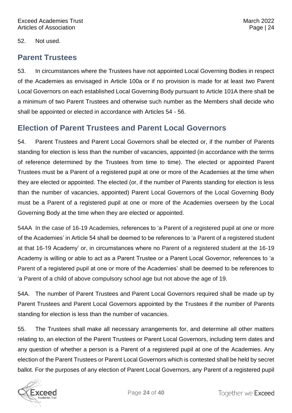52. Not used.

#### <span id="page-24-0"></span>**Parent Trustees**

53. In circumstances where the Trustees have not appointed Local Governing Bodies in respect of the Academies as envisaged in Article 100a or if no provision is made for at least two Parent Local Governors on each established Local Governing Body pursuant to Article 101A there shall be a minimum of two Parent Trustees and otherwise such number as the Members shall decide who shall be appointed or elected in accordance with Articles 54 - 56.

#### <span id="page-24-1"></span>**Election of Parent Trustees and Parent Local Governors**

54. Parent Trustees and Parent Local Governors shall be elected or, if the number of Parents standing for election is less than the number of vacancies, appointed (in accordance with the terms of reference determined by the Trustees from time to time). The elected or appointed Parent Trustees must be a Parent of a registered pupil at one or more of the Academies at the time when they are elected or appointed. The elected (or, if the number of Parents standing for election is less than the number of vacancies, appointed) Parent Local Governors of the Local Governing Body must be a Parent of a registered pupil at one or more of the Academies overseen by the Local Governing Body at the time when they are elected or appointed.

54AA In the case of 16-19 Academies, references to 'a Parent of a registered pupil at one or more of the Academies' in Article 54 shall be deemed to be references to 'a Parent of a registered student at that 16-19 Academy' or, in circumstances where no Parent of a registered student at the 16-19 Academy is willing or able to act as a Parent Trustee or a Parent Local Governor, references to 'a Parent of a registered pupil at one or more of the Academies' shall be deemed to be references to 'a Parent of a child of above compulsory school age but not above the age of 19.

54A. The number of Parent Trustees and Parent Local Governors required shall be made up by Parent Trustees and Parent Local Governors appointed by the Trustees if the number of Parents standing for election is less than the number of vacancies.

55. The Trustees shall make all necessary arrangements for, and determine all other matters relating to, an election of the Parent Trustees or Parent Local Governors, including term dates and any question of whether a person is a Parent of a registered pupil at one of the Academies. Any election of the Parent Trustees or Parent Local Governors which is contested shall be held by secret ballot. For the purposes of any election of Parent Local Governors, any Parent of a registered pupil

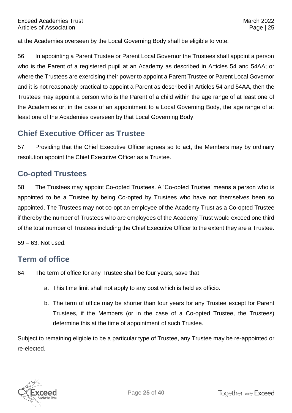at the Academies overseen by the Local Governing Body shall be eligible to vote.

56. In appointing a Parent Trustee or Parent Local Governor the Trustees shall appoint a person who is the Parent of a registered pupil at an Academy as described in Articles 54 and 54AA; or where the Trustees are exercising their power to appoint a Parent Trustee or Parent Local Governor and it is not reasonably practical to appoint a Parent as described in Articles 54 and 54AA, then the Trustees may appoint a person who is the Parent of a child within the age range of at least one of the Academies or, in the case of an appointment to a Local Governing Body, the age range of at least one of the Academies overseen by that Local Governing Body.

#### <span id="page-25-0"></span>**Chief Executive Officer as Trustee**

57. Providing that the Chief Executive Officer agrees so to act, the Members may by ordinary resolution appoint the Chief Executive Officer as a Trustee.

#### <span id="page-25-1"></span>**Co-opted Trustees**

58. The Trustees may appoint Co-opted Trustees. A 'Co-opted Trustee' means a person who is appointed to be a Trustee by being Co-opted by Trustees who have not themselves been so appointed. The Trustees may not co-opt an employee of the Academy Trust as a Co-opted Trustee if thereby the number of Trustees who are employees of the Academy Trust would exceed one third of the total number of Trustees including the Chief Executive Officer to the extent they are a Trustee.

59 – 63. Not used.

#### <span id="page-25-2"></span>**Term of office**

- 64. The term of office for any Trustee shall be four years, save that:
	- a. This time limit shall not apply to any post which is held ex officio.
	- b. The term of office may be shorter than four years for any Trustee except for Parent Trustees, if the Members (or in the case of a Co-opted Trustee, the Trustees) determine this at the time of appointment of such Trustee.

Subject to remaining eligible to be a particular type of Trustee, any Trustee may be re-appointed or re-elected.

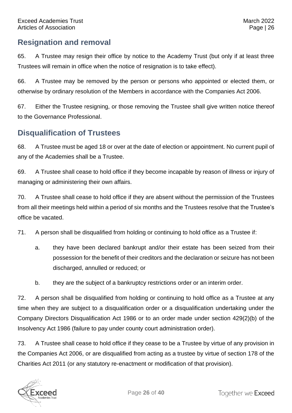#### <span id="page-26-0"></span>**Resignation and removal**

65. A Trustee may resign their office by notice to the Academy Trust (but only if at least three Trustees will remain in office when the notice of resignation is to take effect).

66. A Trustee may be removed by the person or persons who appointed or elected them, or otherwise by ordinary resolution of the Members in accordance with the Companies Act 2006.

67. Either the Trustee resigning, or those removing the Trustee shall give written notice thereof to the Governance Professional.

#### <span id="page-26-1"></span>**Disqualification of Trustees**

68. A Trustee must be aged 18 or over at the date of election or appointment. No current pupil of any of the Academies shall be a Trustee.

69. A Trustee shall cease to hold office if they become incapable by reason of illness or injury of managing or administering their own affairs.

70. A Trustee shall cease to hold office if they are absent without the permission of the Trustees from all their meetings held within a period of six months and the Trustees resolve that the Trustee's office be vacated.

71. A person shall be disqualified from holding or continuing to hold office as a Trustee if:

- a. they have been declared bankrupt and/or their estate has been seized from their possession for the benefit of their creditors and the declaration or seizure has not been discharged, annulled or reduced; or
- b. they are the subject of a bankruptcy restrictions order or an interim order.

72. A person shall be disqualified from holding or continuing to hold office as a Trustee at any time when they are subject to a disqualification order or a disqualification undertaking under the Company Directors Disqualification Act 1986 or to an order made under section 429(2)(b) of the Insolvency Act 1986 (failure to pay under county court administration order).

73. A Trustee shall cease to hold office if they cease to be a Trustee by virtue of any provision in the Companies Act 2006, or are disqualified from acting as a trustee by virtue of section 178 of the Charities Act 2011 (or any statutory re-enactment or modification of that provision).

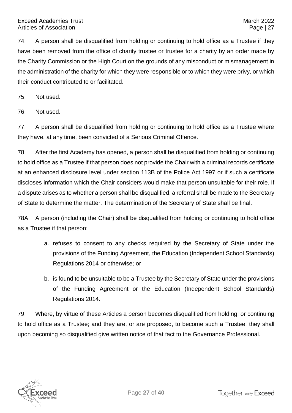74. A person shall be disqualified from holding or continuing to hold office as a Trustee if they have been removed from the office of charity trustee or trustee for a charity by an order made by the Charity Commission or the High Court on the grounds of any misconduct or mismanagement in the administration of the charity for which they were responsible or to which they were privy, or which their conduct contributed to or facilitated.

75. Not used.

76. Not used.

77. A person shall be disqualified from holding or continuing to hold office as a Trustee where they have, at any time, been convicted of a Serious Criminal Offence.

78. After the first Academy has opened, a person shall be disqualified from holding or continuing to hold office as a Trustee if that person does not provide the Chair with a criminal records certificate at an enhanced disclosure level under section 113B of the Police Act 1997 or if such a certificate discloses information which the Chair considers would make that person unsuitable for their role. If a dispute arises as to whether a person shall be disqualified, a referral shall be made to the Secretary of State to determine the matter. The determination of the Secretary of State shall be final.

78A A person (including the Chair) shall be disqualified from holding or continuing to hold office as a Trustee if that person:

- a. refuses to consent to any checks required by the Secretary of State under the provisions of the Funding Agreement, the Education (Independent School Standards) Regulations 2014 or otherwise; or
- b. is found to be unsuitable to be a Trustee by the Secretary of State under the provisions of the Funding Agreement or the Education (Independent School Standards) Regulations 2014.

79. Where, by virtue of these Articles a person becomes disqualified from holding, or continuing to hold office as a Trustee; and they are, or are proposed, to become such a Trustee, they shall upon becoming so disqualified give written notice of that fact to the Governance Professional.

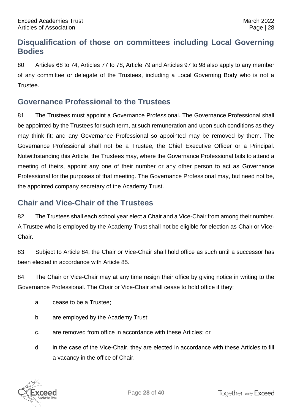# <span id="page-28-0"></span>**Disqualification of those on committees including Local Governing Bodies**

80. Articles 68 to 74, Articles 77 to 78, Article 79 and Articles 97 to 98 also apply to any member of any committee or delegate of the Trustees, including a Local Governing Body who is not a Trustee.

#### <span id="page-28-1"></span>**Governance Professional to the Trustees**

81. The Trustees must appoint a Governance Professional. The Governance Professional shall be appointed by the Trustees for such term, at such remuneration and upon such conditions as they may think fit; and any Governance Professional so appointed may be removed by them. The Governance Professional shall not be a Trustee, the Chief Executive Officer or a Principal*.* Notwithstanding this Article, the Trustees may, where the Governance Professional fails to attend a meeting of theirs, appoint any one of their number or any other person to act as Governance Professional for the purposes of that meeting. The Governance Professional may, but need not be, the appointed company secretary of the Academy Trust.

#### <span id="page-28-2"></span>**Chair and Vice-Chair of the Trustees**

82. The Trustees shall each school year elect a Chair and a Vice-Chair from among their number. A Trustee who is employed by the Academy Trust shall not be eligible for election as Chair or Vice-Chair.

83. Subject to Article 84, the Chair or Vice-Chair shall hold office as such until a successor has been elected in accordance with Article 85.

84. The Chair or Vice-Chair may at any time resign their office by giving notice in writing to the Governance Professional. The Chair or Vice-Chair shall cease to hold office if they:

- a. cease to be a Trustee;
- b. are employed by the Academy Trust;
- c. are removed from office in accordance with these Articles; or
- d. in the case of the Vice-Chair, they are elected in accordance with these Articles to fill a vacancy in the office of Chair.

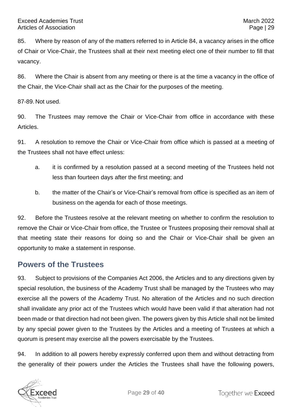85. Where by reason of any of the matters referred to in Article 84, a vacancy arises in the office of Chair or Vice-Chair, the Trustees shall at their next meeting elect one of their number to fill that vacancy.

86. Where the Chair is absent from any meeting or there is at the time a vacancy in the office of the Chair, the Vice-Chair shall act as the Chair for the purposes of the meeting.

87-89. Not used.

90. The Trustees may remove the Chair or Vice-Chair from office in accordance with these Articles.

91. A resolution to remove the Chair or Vice-Chair from office which is passed at a meeting of the Trustees shall not have effect unless:

- a. it is confirmed by a resolution passed at a second meeting of the Trustees held not less than fourteen days after the first meeting; and
- b. the matter of the Chair's or Vice-Chair's removal from office is specified as an item of business on the agenda for each of those meetings.

92. Before the Trustees resolve at the relevant meeting on whether to confirm the resolution to remove the Chair or Vice-Chair from office, the Trustee or Trustees proposing their removal shall at that meeting state their reasons for doing so and the Chair or Vice-Chair shall be given an opportunity to make a statement in response.

#### <span id="page-29-0"></span>**Powers of the Trustees**

93. Subject to provisions of the Companies Act 2006, the Articles and to any directions given by special resolution, the business of the Academy Trust shall be managed by the Trustees who may exercise all the powers of the Academy Trust. No alteration of the Articles and no such direction shall invalidate any prior act of the Trustees which would have been valid if that alteration had not been made or that direction had not been given. The powers given by this Article shall not be limited by any special power given to the Trustees by the Articles and a meeting of Trustees at which a quorum is present may exercise all the powers exercisable by the Trustees.

94. In addition to all powers hereby expressly conferred upon them and without detracting from the generality of their powers under the Articles the Trustees shall have the following powers,

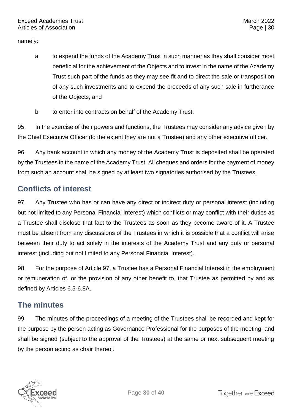namely:

- a. to expend the funds of the Academy Trust in such manner as they shall consider most beneficial for the achievement of the Objects and to invest in the name of the Academy Trust such part of the funds as they may see fit and to direct the sale or transposition of any such investments and to expend the proceeds of any such sale in furtherance of the Objects; and
- b. to enter into contracts on behalf of the Academy Trust.

95. In the exercise of their powers and functions, the Trustees may consider any advice given by the Chief Executive Officer (to the extent they are not a Trustee) and any other executive officer.

96. Any bank account in which any money of the Academy Trust is deposited shall be operated by the Trustees in the name of the Academy Trust. All cheques and orders for the payment of money from such an account shall be signed by at least two signatories authorised by the Trustees.

# <span id="page-30-0"></span>**Conflicts of interest**

97. Any Trustee who has or can have any direct or indirect duty or personal interest (including but not limited to any Personal Financial Interest) which conflicts or may conflict with their duties as a Trustee shall disclose that fact to the Trustees as soon as they become aware of it. A Trustee must be absent from any discussions of the Trustees in which it is possible that a conflict will arise between their duty to act solely in the interests of the Academy Trust and any duty or personal interest (including but not limited to any Personal Financial Interest).

98. For the purpose of Article 97, a Trustee has a Personal Financial Interest in the employment or remuneration of, or the provision of any other benefit to, that Trustee as permitted by and as defined by Articles 6.5-6.8A.

# <span id="page-30-1"></span>**The minutes**

99. The minutes of the proceedings of a meeting of the Trustees shall be recorded and kept for the purpose by the person acting as Governance Professional for the purposes of the meeting; and shall be signed (subject to the approval of the Trustees) at the same or next subsequent meeting by the person acting as chair thereof.

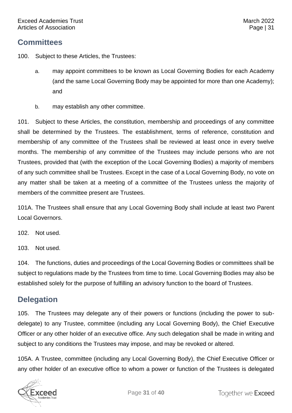<span id="page-31-0"></span>100. Subject to these Articles, the Trustees:

- a. may appoint committees to be known as Local Governing Bodies for each Academy (and the same Local Governing Body may be appointed for more than one Academy); and
- b. may establish any other committee.

101. Subject to these Articles, the constitution, membership and proceedings of any committee shall be determined by the Trustees. The establishment, terms of reference, constitution and membership of any committee of the Trustees shall be reviewed at least once in every twelve months. The membership of any committee of the Trustees may include persons who are not Trustees, provided that (with the exception of the Local Governing Bodies) a majority of members of any such committee shall be Trustees. Except in the case of a Local Governing Body, no vote on any matter shall be taken at a meeting of a committee of the Trustees unless the majority of members of the committee present are Trustees.

101A. The Trustees shall ensure that any Local Governing Body shall include at least two Parent Local Governors.

- 102. Not used.
- 103. Not used.

104. The functions, duties and proceedings of the Local Governing Bodies or committees shall be subject to regulations made by the Trustees from time to time. Local Governing Bodies may also be established solely for the purpose of fulfilling an advisory function to the board of Trustees.

#### <span id="page-31-1"></span>**Delegation**

105. The Trustees may delegate any of their powers or functions (including the power to subdelegate) to any Trustee, committee (including any Local Governing Body), the Chief Executive Officer or any other holder of an executive office. Any such delegation shall be made in writing and subject to any conditions the Trustees may impose, and may be revoked or altered.

105A. A Trustee, committee (including any Local Governing Body), the Chief Executive Officer or any other holder of an executive office to whom a power or function of the Trustees is delegated

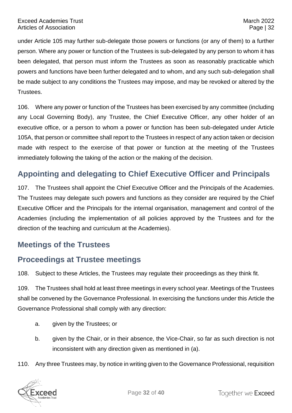under Article 105 may further sub-delegate those powers or functions (or any of them) to a further person. Where any power or function of the Trustees is sub-delegated by any person to whom it has been delegated, that person must inform the Trustees as soon as reasonably practicable which powers and functions have been further delegated and to whom, and any such sub-delegation shall be made subject to any conditions the Trustees may impose, and may be revoked or altered by the Trustees.

106. Where any power or function of the Trustees has been exercised by any committee (including any Local Governing Body), any Trustee, the Chief Executive Officer, any other holder of an executive office, or a person to whom a power or function has been sub-delegated under Article 105A, that person or committee shall report to the Trustees in respect of any action taken or decision made with respect to the exercise of that power or function at the meeting of the Trustees immediately following the taking of the action or the making of the decision.

### <span id="page-32-0"></span>**Appointing and delegating to Chief Executive Officer and Principals**

107. The Trustees shall appoint the Chief Executive Officer and the Principals of the Academies. The Trustees may delegate such powers and functions as they consider are required by the Chief Executive Officer and the Principals for the internal organisation, management and control of the Academies (including the implementation of all policies approved by the Trustees and for the direction of the teaching and curriculum at the Academies).

#### <span id="page-32-1"></span>**Meetings of the Trustees**

# <span id="page-32-2"></span>**Proceedings at Trustee meetings**

108. Subject to these Articles, the Trustees may regulate their proceedings as they think fit.

109. The Trustees shall hold at least three meetings in every school year. Meetings of the Trustees shall be convened by the Governance Professional. In exercising the functions under this Article the Governance Professional shall comply with any direction:

- a. given by the Trustees; or
- b. given by the Chair, or in their absence, the Vice-Chair, so far as such direction is not inconsistent with any direction given as mentioned in (a).
- 110. Any three Trustees may, by notice in writing given to the Governance Professional, requisition

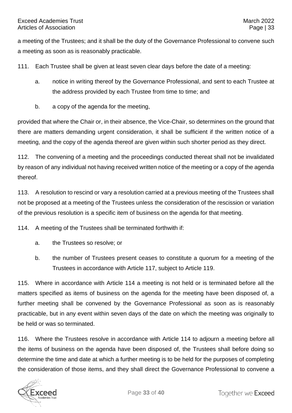a meeting of the Trustees; and it shall be the duty of the Governance Professional to convene such a meeting as soon as is reasonably practicable.

111. Each Trustee shall be given at least seven clear days before the date of a meeting:

- a. notice in writing thereof by the Governance Professional, and sent to each Trustee at the address provided by each Trustee from time to time; and
- b. a copy of the agenda for the meeting,

provided that where the Chair or, in their absence, the Vice-Chair, so determines on the ground that there are matters demanding urgent consideration, it shall be sufficient if the written notice of a meeting, and the copy of the agenda thereof are given within such shorter period as they direct.

112. The convening of a meeting and the proceedings conducted thereat shall not be invalidated by reason of any individual not having received written notice of the meeting or a copy of the agenda thereof.

113. A resolution to rescind or vary a resolution carried at a previous meeting of the Trustees shall not be proposed at a meeting of the Trustees unless the consideration of the rescission or variation of the previous resolution is a specific item of business on the agenda for that meeting.

114. A meeting of the Trustees shall be terminated forthwith if:

- a. the Trustees so resolve; or
- b. the number of Trustees present ceases to constitute a quorum for a meeting of the Trustees in accordance with Article 117, subject to Article 119.

115. Where in accordance with Article 114 a meeting is not held or is terminated before all the matters specified as items of business on the agenda for the meeting have been disposed of, a further meeting shall be convened by the Governance Professional as soon as is reasonably practicable, but in any event within seven days of the date on which the meeting was originally to be held or was so terminated.

116. Where the Trustees resolve in accordance with Article 114 to adjourn a meeting before all the items of business on the agenda have been disposed of, the Trustees shall before doing so determine the time and date at which a further meeting is to be held for the purposes of completing the consideration of those items, and they shall direct the Governance Professional to convene a

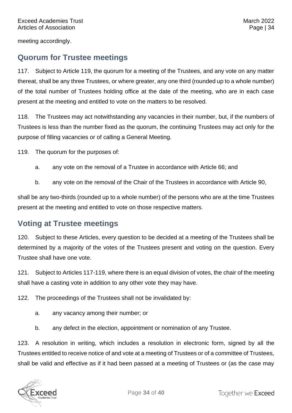meeting accordingly.

#### <span id="page-34-0"></span>**Quorum for Trustee meetings**

117. Subject to Article 119, the quorum for a meeting of the Trustees, and any vote on any matter thereat, shall be any three Trustees, or where greater, any one third (rounded up to a whole number) of the total number of Trustees holding office at the date of the meeting, who are in each case present at the meeting and entitled to vote on the matters to be resolved.

118. The Trustees may act notwithstanding any vacancies in their number, but, if the numbers of Trustees is less than the number fixed as the quorum, the continuing Trustees may act only for the purpose of filling vacancies or of calling a General Meeting.

119. The quorum for the purposes of:

- a. any vote on the removal of a Trustee in accordance with Article 66; and
- b. any vote on the removal of the Chair of the Trustees in accordance with Article 90,

shall be any two-thirds (rounded up to a whole number) of the persons who are at the time Trustees present at the meeting and entitled to vote on those respective matters.

#### <span id="page-34-1"></span>**Voting at Trustee meetings**

120. Subject to these Articles, every question to be decided at a meeting of the Trustees shall be determined by a majority of the votes of the Trustees present and voting on the question. Every Trustee shall have one vote.

121. Subject to Articles 117-119, where there is an equal division of votes, the chair of the meeting shall have a casting vote in addition to any other vote they may have.

122. The proceedings of the Trustees shall not be invalidated by:

- a. any vacancy among their number; or
- b. any defect in the election, appointment or nomination of any Trustee.

123. A resolution in writing, which includes a resolution in electronic form, signed by all the Trustees entitled to receive notice of and vote at a meeting of Trustees or of a committee of Trustees, shall be valid and effective as if it had been passed at a meeting of Trustees or (as the case may

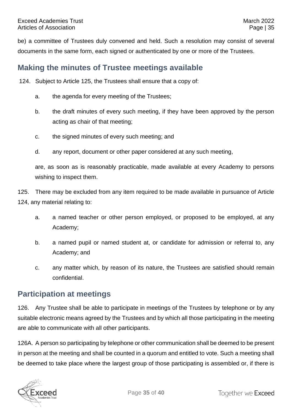be) a committee of Trustees duly convened and held. Such a resolution may consist of several documents in the same form, each signed or authenticated by one or more of the Trustees.

#### <span id="page-35-0"></span>**Making the minutes of Trustee meetings available**

124. Subject to Article 125, the Trustees shall ensure that a copy of:

- a. the agenda for every meeting of the Trustees;
- b. the draft minutes of every such meeting, if they have been approved by the person acting as chair of that meeting;
- c. the signed minutes of every such meeting; and
- d. any report, document or other paper considered at any such meeting,

are, as soon as is reasonably practicable, made available at every Academy to persons wishing to inspect them.

125. There may be excluded from any item required to be made available in pursuance of Article 124, any material relating to:

- a. a named teacher or other person employed, or proposed to be employed, at any Academy;
- b. a named pupil or named student at, or candidate for admission or referral to, any Academy; and
- c. any matter which, by reason of its nature, the Trustees are satisfied should remain confidential.

#### <span id="page-35-1"></span>**Participation at meetings**

126. Any Trustee shall be able to participate in meetings of the Trustees by telephone or by any suitable electronic means agreed by the Trustees and by which all those participating in the meeting are able to communicate with all other participants.

126A. A person so participating by telephone or other communication shall be deemed to be present in person at the meeting and shall be counted in a quorum and entitled to vote. Such a meeting shall be deemed to take place where the largest group of those participating is assembled or, if there is

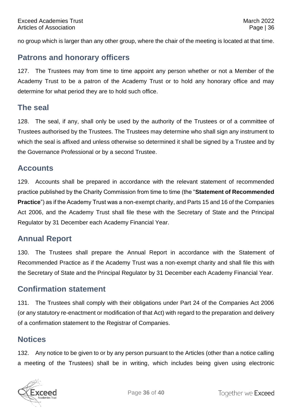no group which is larger than any other group, where the chair of the meeting is located at that time.

#### <span id="page-36-0"></span>**Patrons and honorary officers**

127. The Trustees may from time to time appoint any person whether or not a Member of the Academy Trust to be a patron of the Academy Trust or to hold any honorary office and may determine for what period they are to hold such office.

#### <span id="page-36-1"></span>**The seal**

128. The seal, if any, shall only be used by the authority of the Trustees or of a committee of Trustees authorised by the Trustees. The Trustees may determine who shall sign any instrument to which the seal is affixed and unless otherwise so determined it shall be signed by a Trustee and by the Governance Professional or by a second Trustee.

#### <span id="page-36-2"></span>**Accounts**

129. Accounts shall be prepared in accordance with the relevant statement of recommended practice published by the Charity Commission from time to time (the "**Statement of Recommended Practice**") as if the Academy Trust was a non-exempt charity, and Parts 15 and 16 of the Companies Act 2006, and the Academy Trust shall file these with the Secretary of State and the Principal Regulator by 31 December each Academy Financial Year.

#### <span id="page-36-3"></span>**Annual Report**

130. The Trustees shall prepare the Annual Report in accordance with the Statement of Recommended Practice as if the Academy Trust was a non-exempt charity and shall file this with the Secretary of State and the Principal Regulator by 31 December each Academy Financial Year.

#### <span id="page-36-4"></span>**Confirmation statement**

131. The Trustees shall comply with their obligations under Part 24 of the Companies Act 2006 (or any statutory re-enactment or modification of that Act) with regard to the preparation and delivery of a confirmation statement to the Registrar of Companies.

#### <span id="page-36-5"></span>**Notices**

132. Any notice to be given to or by any person pursuant to the Articles (other than a notice calling a meeting of the Trustees) shall be in writing, which includes being given using electronic

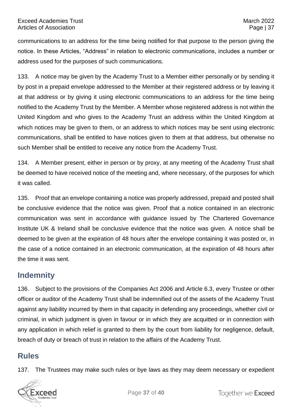communications to an address for the time being notified for that purpose to the person giving the notice. In these Articles, "Address" in relation to electronic communications, includes a number or address used for the purposes of such communications.

133. A notice may be given by the Academy Trust to a Member either personally or by sending it by post in a prepaid envelope addressed to the Member at their registered address or by leaving it at that address or by giving it using electronic communications to an address for the time being notified to the Academy Trust by the Member. A Member whose registered address is not within the United Kingdom and who gives to the Academy Trust an address within the United Kingdom at which notices may be given to them, or an address to which notices may be sent using electronic communications, shall be entitled to have notices given to them at that address, but otherwise no such Member shall be entitled to receive any notice from the Academy Trust.

134. A Member present, either in person or by proxy, at any meeting of the Academy Trust shall be deemed to have received notice of the meeting and, where necessary, of the purposes for which it was called.

135. Proof that an envelope containing a notice was properly addressed, prepaid and posted shall be conclusive evidence that the notice was given. Proof that a notice contained in an electronic communication was sent in accordance with guidance issued by The Chartered Governance Institute UK & Ireland shall be conclusive evidence that the notice was given. A notice shall be deemed to be given at the expiration of 48 hours after the envelope containing it was posted or, in the case of a notice contained in an electronic communication, at the expiration of 48 hours after the time it was sent.

#### <span id="page-37-0"></span>**Indemnity**

136. Subject to the provisions of the Companies Act 2006 and Article 6.3, every Trustee or other officer or auditor of the Academy Trust shall be indemnified out of the assets of the Academy Trust against any liability incurred by them in that capacity in defending any proceedings, whether civil or criminal, in which judgment is given in favour or in which they are acquitted or in connection with any application in which relief is granted to them by the court from liability for negligence, default, breach of duty or breach of trust in relation to the affairs of the Academy Trust.

#### <span id="page-37-1"></span>**Rules**

137. The Trustees may make such rules or bye laws as they may deem necessary or expedient

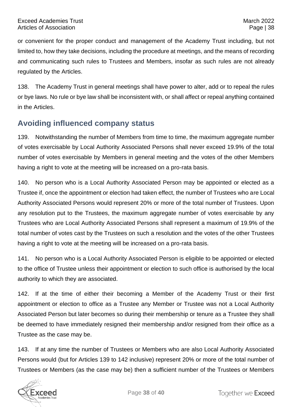or convenient for the proper conduct and management of the Academy Trust including, but not limited to, how they take decisions, including the procedure at meetings, and the means of recording and communicating such rules to Trustees and Members, insofar as such rules are not already regulated by the Articles.

138. The Academy Trust in general meetings shall have power to alter, add or to repeal the rules or bye laws. No rule or bye law shall be inconsistent with, or shall affect or repeal anything contained in the Articles.

# <span id="page-38-0"></span>**Avoiding influenced company status**

139. Notwithstanding the number of Members from time to time, the maximum aggregate number of votes exercisable by Local Authority Associated Persons shall never exceed 19.9% of the total number of votes exercisable by Members in general meeting and the votes of the other Members having a right to vote at the meeting will be increased on a pro-rata basis.

140. No person who is a Local Authority Associated Person may be appointed or elected as a Trustee if, once the appointment or election had taken effect, the number of Trustees who are Local Authority Associated Persons would represent 20% or more of the total number of Trustees. Upon any resolution put to the Trustees, the maximum aggregate number of votes exercisable by any Trustees who are Local Authority Associated Persons shall represent a maximum of 19.9% of the total number of votes cast by the Trustees on such a resolution and the votes of the other Trustees having a right to vote at the meeting will be increased on a pro-rata basis.

141. No person who is a Local Authority Associated Person is eligible to be appointed or elected to the office of Trustee unless their appointment or election to such office is authorised by the local authority to which they are associated.

142. If at the time of either their becoming a Member of the Academy Trust or their first appointment or election to office as a Trustee any Member or Trustee was not a Local Authority Associated Person but later becomes so during their membership or tenure as a Trustee they shall be deemed to have immediately resigned their membership and/or resigned from their office as a Trustee as the case may be.

143. If at any time the number of Trustees or Members who are also Local Authority Associated Persons would (but for Articles 139 to 142 inclusive) represent 20% or more of the total number of Trustees or Members (as the case may be) then a sufficient number of the Trustees or Members